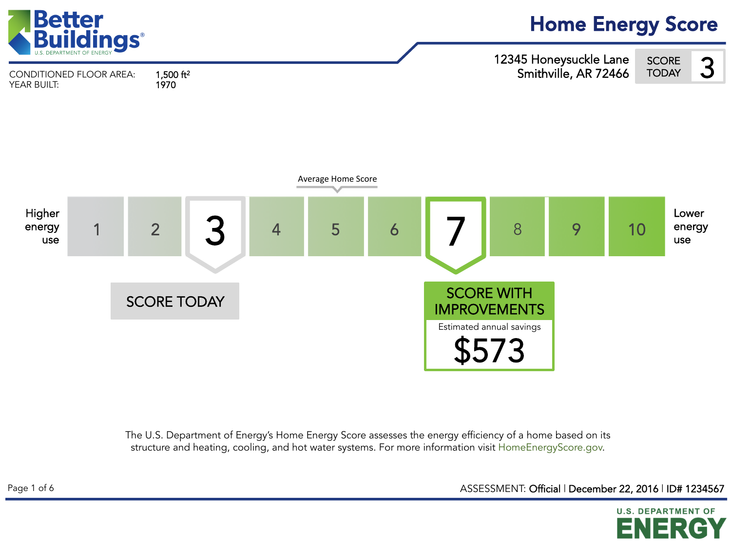

The U.S. Department of Energy's Home Energy Score assesses the energy efficiency of a home based on its structure and heating, cooling, and hot water systems. For more information visit HomeEnergyScore.gov.

ASSESSMENT: Official | December 22, 2016 | ID# 1234567

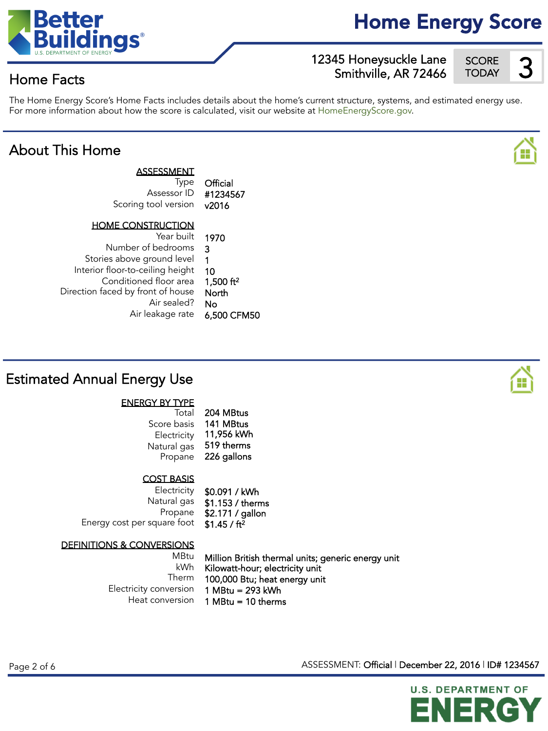

## Home Energy Score

12345 Honeysuckle Lane Smithville, AR 72466 **SCORE**  $\frac{360 \text{N}}{100 \text{A} \cdot \text{A}}$ 

## Home Facts

The Home Energy Score's Home Facts includes details about the home's current structure, systems, and estimated energy use. For more information about how the score is calculated, visit our website at HomeEnergyScore.gov.

## About This Home



| ASSESSMENT<br>Type<br>Assessor ID<br>Scoring tool version | Official<br>#1234567<br>v2016 |
|-----------------------------------------------------------|-------------------------------|
| <b>HOME CONSTRUCTION</b>                                  |                               |
| Year built                                                | 1970                          |
| Number of bedrooms                                        | 3                             |
| Stories above ground level                                | 1                             |
| Interior floor-to-ceiling height                          | 10                            |
| Conditioned floor area                                    | 1,500 ft <sup>2</sup>         |
| Direction faced by front of house                         | North                         |
| Air sealed?                                               | N٥                            |

Air leakage rate 6,500 CFM50

## Estimated Annual Energy Use

### ENERGY BY TYPE

| Total       | 204 MBtus   |
|-------------|-------------|
| Score basis | 141 MBtus   |
| Electricity | 11,956 kWh  |
| Natural gas | 519 therms  |
| Propane     | 226 gallons |

### COST BASIS

**Electricity** Natural gas Propane Energy cost per square foot \$0.091 / kWh \$1.153 / therms \$2.171 / gallon \$1.45 / ft<sup>2</sup>

### DEFINITIONS & CONVERSIONS

MBtu kWh Therm Electricity conversion Heat conversion

Million British thermal units; generic energy unit Kilowatt-hour; electricity unit 100,000 Btu; heat energy unit 1 MBtu = 293 kWh 1 MBtu = 10 therms

ASSESSMENT: Official | December 22, 2016 | ID# 1234567





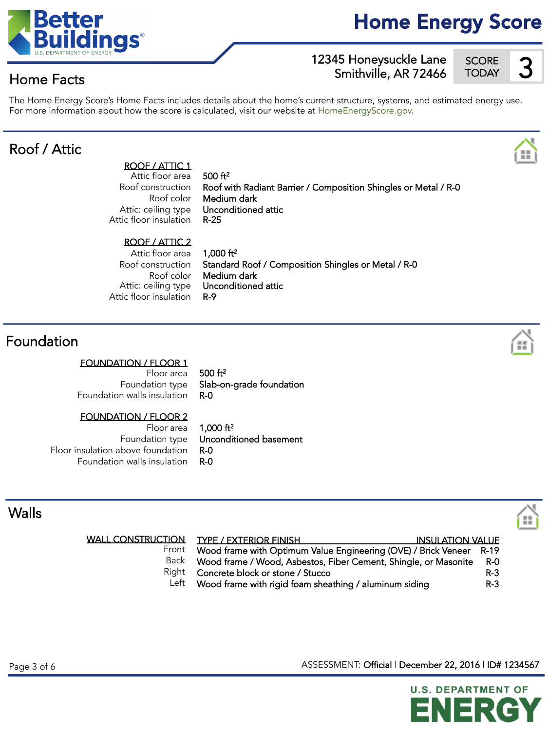## For more information about how the score is calculated, visit our website at HomeEnergyScore.gov.

## Roof / Attic

Home Facts

ROOF / ATTIC 1 Attic floor area Roof construction Roof color Attic: ceiling type Attic floor insulation

 $500 ft<sup>2</sup>$ Roof with Radiant Barrier / Composition Shingles or Metal / R-0 Medium dark Unconditioned attic R-25

### ROOF / ATTIC 2

Attic floor area Roof construction Roof color Attic: ceiling type Attic floor insulation

 $1,000$  ft<sup>2</sup> Standard Roof / Composition Shingles or Metal / R-0 Medium dark Unconditioned attic R-9

## Foundation

### FOUNDATION / FLOOR 1

Floor area Foundation type Foundation walls insulation

FOUNDATION / FLOOR 2

Floor area Foundation type Floor insulation above foundation Foundation walls insulation 1,000 ft2 Unconditioned basement R-0 R-0

Slab-on-grade foundation

The Home Energy Score's Home Facts includes details about the home's current structure, systems, and estimated energy use.

500 ft<sup>2</sup>

R-0

## Walls

WALL CO

|       | NSTRUCTION TYPE / EXTERIOR FINISH<br><b>INSULATION VALUE</b>        |            |
|-------|---------------------------------------------------------------------|------------|
| Front | Wood frame with Optimum Value Engineering (OVE) / Brick Veneer R-19 |            |
| Back  | Wood frame / Wood, Asbestos, Fiber Cement, Shingle, or Masonite     | <b>R-0</b> |
|       | Right Concrete block or stone / Stucco                              | $R-3$      |
| Left  | Wood frame with rigid foam sheathing / aluminum siding              | $R-3$      |

Page 3 of 6 Assessment T. Official | December 22, 2016 | ID# 1234567

**U.S. DEPARTMENT OF** 





# 12345 Honeysuckle Lane SCORE<br>Smithville, AR 72466 TODAY





H.

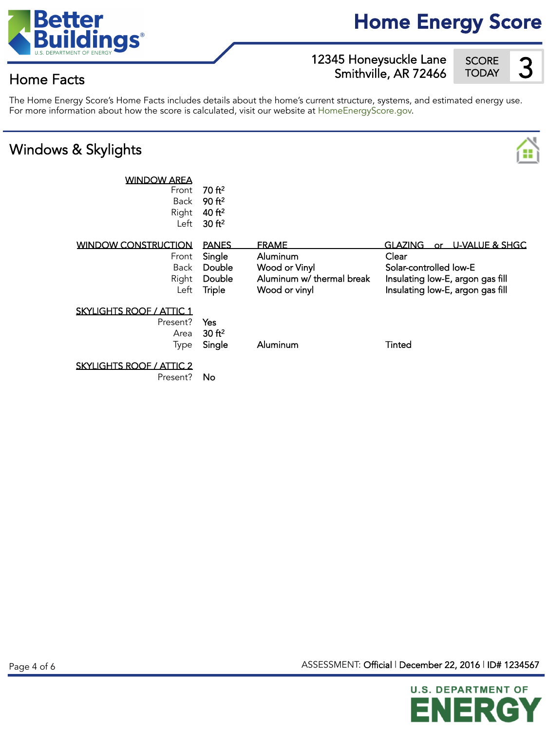

## Home Energy Score

12345 Honeysuckle Lane SCORE 3<br>Smithville, AR 72466 TODAY Smithville, AR 72466

SCORE<br>TODAY

## Home Facts

#### The Home Energy Score's Home Facts includes details about the home's current structure, systems, and estimated energy use. For more information about how the score is calculated, visit our website at HomeEnergyScore.gov.

## Windows & Skylights



| <b>WINDOW AREA</b><br>Front<br>Back<br>Right<br>Left         | 70 ft <sup>2</sup><br>90 f <sup>2</sup><br>40 ft <sup>2</sup><br>30 ft <sup>2</sup> |                                                                                         |                                                                                                                                                |
|--------------------------------------------------------------|-------------------------------------------------------------------------------------|-----------------------------------------------------------------------------------------|------------------------------------------------------------------------------------------------------------------------------------------------|
| <b>WINDOW CONSTRUCTION</b><br>Front<br>Back<br>Right<br>Left | <b>PANES</b><br>Single<br>Double<br>Double<br>Triple                                | <b>FRAME</b><br>Aluminum<br>Wood or Vinyl<br>Aluminum w/ thermal break<br>Wood or vinyl | <b>GLAZING</b><br>or U-VALUE & SHGC<br>Clear<br>Solar-controlled low-E<br>Insulating low-E, argon gas fill<br>Insulating low-E, argon gas fill |
| <b>SKYLIGHTS ROOF / ATTIC 1</b><br>Present?<br>Area<br>Type  | <b>Yes</b><br>30 ft <sup>2</sup><br>Single                                          | Aluminum                                                                                | Tinted                                                                                                                                         |
| <b>SKYLIGHTS ROOF / ATTIC 2</b>                              |                                                                                     |                                                                                         |                                                                                                                                                |

Present? **No** 

Page 4 of 6 ASSESSMENT: Official | December 22, 2016 | ID# 1234567

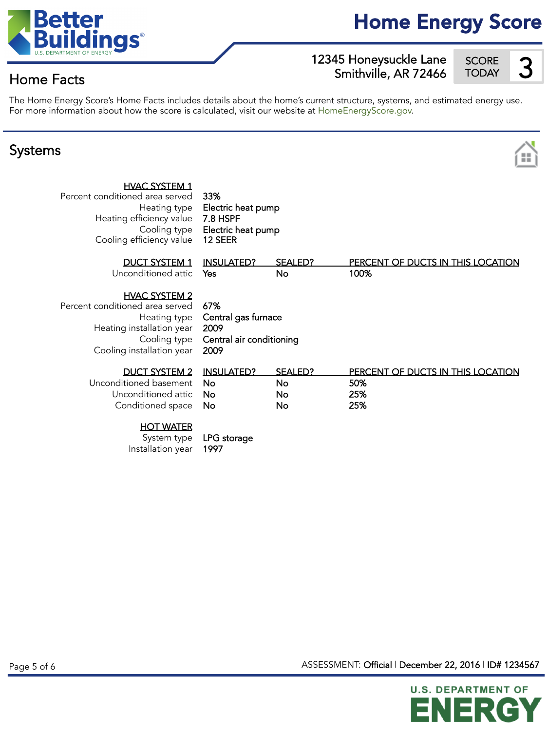

## Home Energy Score

12345 Honeysuckle Lane SCORE 3<br>Smithville AR 72466 TODAY Smithville, AR 72466

SCORE<br>TODAY

## Home Facts



The Home Energy Score's Home Facts includes details about the home's current structure, systems, and estimated energy use. For more information about how the score is calculated, visit our website at HomeEnergyScore.gov.

### Systems



| HVAC SYSTEM 1 |  |
|---------------|--|
|               |  |

33% Electric heat pump 7.8 HSPF Electric heat pump 12 SEER

| DUCT SYSTEM 1 INSULATED? SEALED? |    | PERCENT OF DUCTS IN THIS LOCATION |
|----------------------------------|----|-----------------------------------|
| Unconditioned attic Yes          | Nο | 100%                              |

HVAC SYSTEM 2

Percent conditioned area served Heating type Heating installation year Cooling type Cooling installation year

67% Central gas furnace 2009 Central air conditioning 2009

| DUCT SYSTEM 2 INSULATED?      | SEALED? | PERCENT OF DUCTS IN THIS LOCATION |
|-------------------------------|---------|-----------------------------------|
| Unconditioned basement No     | Nο      | 50%                               |
| Unconditioned attic <b>No</b> | No      | 25%                               |
| Conditioned space No          | No      | 25%                               |

### HOT WATER

| System type       | LPG s |
|-------------------|-------|
| Installation year | 1997  |

storage

ASSESSMENT: Official | December 22, 2016 | ID# 1234567